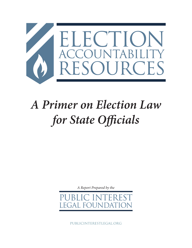

# *A Primer on Election Law for State Officials*

*A Report Prepared by the*

F<sup>(</sup>  $\mathbf{A}$ 

publicinterestlegal.org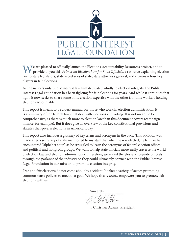

M Te are pleased to officially launch the Elections Accountability Resources project, and to provide to you this *Primer on Election Law for State Officials*, a resource explaining election law to state legislators, state secretaries of state, state attorneys general, and citizens – four key players in fair elections.

As the nation's only public interest law firm dedicated wholly to election integrity, the Public Interest Legal Foundation has been fighting for fair elections for years. And while it continues that fight, it now seeks to share some of its election expertise with the other frontline workers holding elections accountable.

This report is meant to be a desk manual for those who work in election administration. It is a summary of the federal laws that deal with elections and voting. It is not meant to be comprehensive, as there is much more to election law than this document covers (campaign finance, for example). But it does give an overview of the key constitutional provisions and statutes that govern elections in America today.

This report also includes a glossary of key terms and acronyms in the back. This addition was made after a secretary of state mentioned to my staff that when he was elected, he felt like he encountered "alphabet soup" as he struggled to learn the acronyms of federal election offices and political and nonprofit groups. We want to help state officials more easily traverse the world of election law and election administration; therefore, we added the glossary to guide officials through the parlance of the industry so they could ultimately partner with the Public Interest Legal Foundation in our mission to promote election integrity.

Free and fair elections do not come about by accident. It takes a variety of actors promoting common sense policies to meet that goal. We hope this resource empowers you to promote fair elections with us.

Sincerely,

J. Christian Adams, President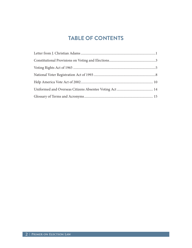# **TABLE OF CONTENTS**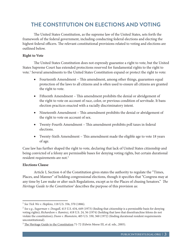# **THE CONSTITUTION ON ELECTIONS AND VOTING**

The United States Constitution, as the supreme law of the United States, sets forth the framework of the federal government, including conducting federal elections and electing the highest federal officers. The relevant constitutional provisions related to voting and elections are outlined below.

### **Right to Vote**

The United States Constitution does not expressly guarantee a right to vote, but the United States Supreme Court has extended protections reserved for fundamental rights to the right to vote.<sup>1</sup> Several amendments to the United States Constitution expand or protect the right to vote:

- Fourteenth Amendment This amendment, among other things, guarantees equal protection of the laws to all citizens and is often used to ensure all citizens are granted the right to vote.
- Fifteenth Amendment This amendment prohibits the denial or abridgement of the right to vote on account of race, color, or previous condition of servitude. It bans election practices enacted with a racially discriminatory intent.
- Nineteenth Amendment This amendment prohibits the denial or abridgement of the right to vote on account of sex.
- Twenty-Fourth Amendment This amendment prohibits poll taxes in federal elections.
- Twenty-Sixth Amendment This amendment made the eligible age to vote 18 years of age.

Case law has further shaped the right to vote, declaring that lack of United States citizenship and being convicted of a felony are permissible bases for denying voting rights, but certain durational resident requirements are not.<sup>2</sup>

### **Elections Clause**

Article I, Section 4 of the Constitution gives states the authority to regulate the "Times, Places, and Manner" of holding congressional elections, though it specifies that "Congress may at any time by Law make or alter such Regulations, except as to the Places of chusing Senators." *The*  Heritage Guide to the Constitution<sup>3</sup> describes the purpose of this provision as:

<sup>1</sup>  *See Yick Wo v. Hopkins*, 118 U.S. 356, 370 (1886).

<sup>2</sup>  *See e.g.*, *Sugarman v. Dougall*, 413 U.S. 634, 649 (1973) (finding that citizenship is a permissible basis for denying voting rights); *Richardson v. Ramirez*, 418 U.S. 24, 56 (1974) (holding that laws that disenfranchise felons do not violate the constitution); *Dunn v. Blumstein*, 405 U.S. 330, 360 (1972) (finding durational resident requirements unconstitutional).

 $3$  The Heritage Guide to the Constitution 71-72 (Edwin Meese III, et al. eds., 2005).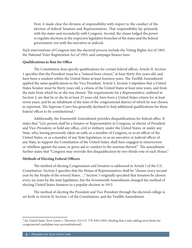First, it made clear the division of responsibility with respect to the conduct of the election of federal Senators and Representatives. That responsibility lay primarily with the states and secondarily with Congress. Second, the clause lodged the power to regulate elections in the respective legislative branches of the states and the federal government, not with the executive or judicial.

Such interventions of Congress into the electoral process include the Voting Rights Act of 1965, the National Voter Registration Act of 1993, and campaign finance laws.

# **Qualifications to Run for Office**

The Constitution does specify qualifications for certain federal offices. Article II, Section 1 specifies that the President must be a "natural born citizen," at least thirty-five years old, and have been a resident within the United States at least fourteen years. The Twelfth Amendment applied the same qualifications to the Vice President. Article I, Section 3 stipulates that a United States Senator must be thirty years old, a citizen of the United States at least nine years, and from the state from which he or she was chosen. The requirements for a Representative, outlined in Section 2, are that he or she be at least 25 years old, have been a United States citizen for at least seven years, and be an inhabitant of the state of the congressional district of which he was chosen to represent. The Supreme Court has generally declined to find additional qualifications for these federal offices to be constitutional.4

Additionally, the Fourteenth Amendment provides disqualifications for federal office. It states that "[n]o person shall be a Senator or Representative in Congress, or elector of President and Vice-President, or hold any office, civil or military, under the United States, or under any State, who, having previously taken an oath, as a member of Congress, or as an officer of the United States, or as a member of any State legislature, or as an executive or judicial officer of any State, to support the Constitution of the United States, shall have engaged in insurrection or rebellion against the same, or given aid or comfort to the enemies thereof." The amendment further states that "Congress may override this disqualification by two-thirds vote of each House."

# **Methods of Electing Federal Officers**

The method of electing Congressmen and Senators is addressed in Article I of the U.S. Constitution. Section 2 specifies that the House of Representatives shall be "chosen every second year by the People of the several States…." Section 3 originally specified that Senators be chosen every six years by the state legislature, but the Seventeenth Amendment changed the method of electing United States Senators to a popular election in 1913.

The method of electing the President and Vice President through the electoral college is set forth in Article II, Section 1 of the Constitution, and the Twelfth Amendment.

<sup>4</sup> *See United States Term Limits v. Thornton*, 514 U.S. 779, 838 (1995) (finding that a state adding term limits for congressional candidates was unconstitutional).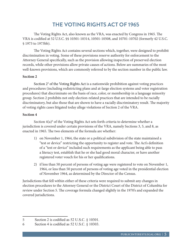# **THE VOTING RIGHTS ACT OF 1965**

The Voting Rights Act, also known as the VRA, was enacted by Congress in 1965. The VRA is codified at 52 U.S.C. §§ 10301-10314, 10501-10508, and 10701-10702 (formerly 42 U.S.C. § 1973 to 1973bb).

The Voting Rights Act contains several sections which, together, were designed to prohibit discrimination in voting. Some of these provisions reserve authority for enforcement to the Attorney General specifically, such as the provision allowing inspection of preserved election records, while other provisions allow private causes of actions. Below are summaries of the most well-known provisions, which are commonly referred to by the section number in the public law.

### **Section 2**

Section 2<sup>5</sup> of the Voting Rights Act is a nationwide prohibition against voting practices and procedures (including redistricting plans and at-large election systems and voter registration procedures) that discriminate on the basis of race, color, or membership in a language minority group. Section 2 prohibits not only election-related practices that are intended to be racially discriminatory, but also those that are shown to have a racially discriminatory result. The majority of voting rights cases litigated today allege violations of Section 2 of the VRA.

### **Section 4**

Section  $4(a)$ <sup>6</sup> of the Voting Rights Act sets forth criteria to determine whether a jurisdiction is covered under certain provisions of the VRA, namely Sections 3, 5, and 8, as enacted in 1965. The two elements of the formula are whether:

- 1) on November 1, 1964, the state or a political subdivision of the state maintained a "test or device" restricting the opportunity to register and vote. The Act's definition of a "test or device" included such requirements as the applicant being able to pass a literacy test, establish that he or she had good moral character, or have another registered voter vouch for his or her qualifications.
- 2) if less than 50 percent of persons of voting age were registered to vote on November 1, 1964, or less than 50 percent of persons of voting age voted in the presidential election of November 1964, as determined by the Director of the Census.

Jurisdictions that fell within either of these criteria were required to submit any changes in election procedures to the Attorney General or the District Court of the District of Columbia for review under Section 5. The coverage formula changed slightly in the 1970's and expanded the covered jurisdictions.

<sup>5</sup> Section 2 is codified as 52 U.S.C. § 10301.

<sup>6</sup> Section 4 is codified as 52 U.S.C. § 10303.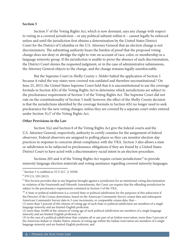#### **Section 5**

Section 5<sup>7</sup> of the Voting Rights Act, which is now dormant, says any change with respect to voting in a covered jurisdiction – or any political subunit within it – cannot legally be enforced unless and until the jurisdiction first obtains a determination by the United States District Court for the District of Columbia or the U.S. Attorney General that an election change is not discriminatory. The submitting authority bears the burden of proof that the proposed voting change does not deny or abridge the right to vote on account of race, color, or membership in a language minority group. If the jurisdiction is unable to prove the absence of such discrimination, the District Court denies the requested judgment, or in the case of administrative submissions, the Attorney General objects to the change, and the change remains legally unenforceable.

But the Supreme Court in *Shelby County v. Holder* halted the application of Section 5 because it ruled the way states were covered was outdated and therefore unconstitutional.<sup>8</sup> On June 25, 2013, the United States Supreme Court held that it is unconstitutional to use the coverage formula in Section 4(b) of the Voting Rights Act to determine which jurisdictions are subject to the preclearance requirement of Section 5 of the Voting Rights Act. The Supreme Court did not rule on the constitutionality of Section 5 itself; however, the effect of the *Shelby County* decision is that the jurisdictions identified by the coverage formula in Section 4(b) no longer need to seek preclearance for the new voting changes, unless they are covered by a separate court order entered under Section  $3(c)^9$  of the Voting Rights Act.

#### **Other Provisions in the Law**

Section 3(a) and Section 8 of the Voting Rights Act give the federal courts and the U.S. Attorney General, respectively, authority to certify counties for the assignment of federal observers. Federal observers are assigned to polling places so they can monitor election-day practices in response to concerns about compliance with the VRA. Section 3 also allows a state or subdivision to be subjected to preclearance obligations if they are found by a United States District Court to have acted with a discriminatory racial intent in an election procedure.

Sections 203 and 4 of the Voting Rights Act require certain jurisdictions<sup>10</sup> to provide minority language election materials and voting assistance regarding covered minority languages.

<sup>7</sup> Section 5 is codified as 52 U.S.C. § 10304.

<sup>8</sup> 570 U.S. 529 (2013).

 $^9$  This Section provides that in any litigation brought against a jurisdiction for an intentional voting discrimination in violation of the Fourteenth and Fifteenth Amendments, the Court can require that the offending jurisdiction be subject to the preclearance requirements contained in Section 5 of the VRA.

 $10$  A State or political subdivision is a covered State or political subdivision for the purposes of this subsection if the Director of the Census determines, based on the American Community Survey census data and subsequent American Community Survey data in 5-year increments, or comparable census data, that—

<sup>(1)</sup> more than 5 percent of the citizens of voting age of such State or political subdivision are members of a single language minority and are limited-English proficient;

<sup>(2)</sup> more than 10,000 of the citizens of voting age of such political subdivision are members of a single language minority and are limited-English proficient; or

<sup>(3)</sup> in the case of a political subdivision that contains all or any part of an Indian reservation, more than 5 percent of the American Indian or Alaska Native citizens of voting age within the Indian reservation are members of a single language minority and are limited-English proficient; and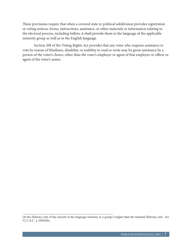These provisions require that when a covered state or political subdivision provides registration or voting notices, forms, instructions, assistance, or other materials or information relating to the electoral process, including ballots, it shall provide them in the language of the applicable minority group as well as in the English language.

Section 208 of the Voting Rights Act provides that any voter who requires assistance to vote by reason of blindness, disability, or inability to read or write may be given assistance by a person of the voter's choice, other than the voter's employer or agent of that employer or officer or agent of the voter's union.

<sup>(4)</sup> the illiteracy rate of the citizens in the language minority as a group is higher than the national illiteracy rate. *See* 52 U.S.C. § 10503(b).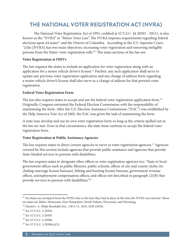# **THE NATIONAL VOTER REGISTRATION ACT (NVRA)**

The National Voter Registration Act of 1993, codified at 52 U.S.C. §§ 20501 - 20511, is also known as the "NVRA" or "Motor Voter Law." The NVRA imposes requirements regarding federal elections upon 44 states<sup>11</sup> and the District of Columbia. According to the U.S. Supreme Court, "[t]he [NVRA] has two main objectives: increasing voter registration and removing ineligible persons from the States' voter registration rolls."12 The main sections of the law are:

# **Voter Registration at DMVs**

The law requires the states to include an application for voter registration along with an application for a motor vehicle driver's license.<sup>13</sup> Further, any such application shall serve to update any previous voter registration application and any change of address form regarding a motor vehicle driver's license shall also serve as a change of address for that person's voter registration.

# **Federal Voter Registration Form**

The law also requires states to accept and use the federal voter registration application form.<sup>14</sup> Originally, Congress entrusted the Federal Election Commission with the responsibility of maintaining the form. After the U.S. Election Assistance Commission ("EAC") was established by the Help America Vote Act of 2002, the EAC was given the task of maintaining the form.

A state may develop and use its own voter registration form so long as the criteria spelled out in the law are met. Even in that circumstance, the state must continue to accept the federal voter registration form.

# **Voter Registration at Public Assistance Agencies**

The law requires states to direct certain agencies to serve as voter registration agencies.<sup>15</sup> Agencies covered by this section include agencies that provide public assistance and agencies that provide State-funded services to persons with disabilities.

The law requires states to designate other offices as voter registration agencies too: "State or local government offices such as public libraries, public schools, offices of city and county clerks (including marriage license bureaus), fishing and hunting license bureaus, government revenue offices, unemployment compensation offices, and offices not described in paragraph (2)(B) that provide services to persons with disabilities."16

<sup>&</sup>lt;sup>11</sup> Six states are exempted from the NVRA due to the laws they had in place at the time the NVRA was enacted. Those six states are Idaho, Minnesota, New Hampshire, North Dakota, Wisconsin, and Wyoming.

<sup>12</sup> *Husted v. A. Philip Randolph Inst*., 138 S. Ct. 1833, 1838 (2018).

<sup>13</sup> *See* 52 U.S.C. § 20504.

<sup>14</sup> *See* 52 U.S.C. § 20505.

<sup>15</sup> *See* 52 U.S.C. § 20506.

<sup>16</sup> *See* 52 U.S.C. § 20506(a)(3).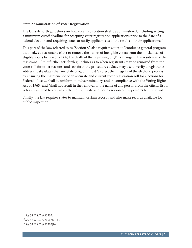### **State Administration of Voter Registration**

The law sets forth guidelines on how voter registration shall be administered, including setting a minimum cutoff deadline for accepting voter registration applications prior to the date of a federal election and requiring states to notify applicants as to the results of their applications.17

This part of the law, referred to as "Section 8," also requires states to "conduct a general program that makes a reasonable effort to remove the names of ineligible voters from the official lists of eligible voters by reason of (A) the death of the registrant; or (B) a change in the residence of the registrant…."18 It further sets forth guidelines as to when registrants may be removed from the voter roll for other reasons, and sets forth the procedures a State may use to verify a registrant's address. It stipulates that any State program must "protect the integrity of the electoral process by ensuring the maintenance of an accurate and current voter registration roll for elections for Federal office…. shall be uniform, nondiscriminatory, and in compliance with the Voting Rights Act of 1965" and "shall not result in the removal of the name of any person from the official list of voters registered to vote in an election for Federal office by reason of the person's failure to vote."19

Finally, the law requires states to maintain certain records and also make records available for public inspection.

<sup>17</sup> *See* 52 U.S.C. § 20507.

<sup>18</sup> *See* 52 U.S.C. § 20507(a)(4).

<sup>19</sup> *See* 52 U.S.C. § 20507(b).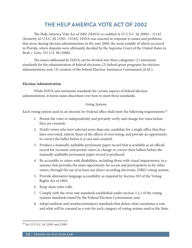# **THE HELP AMERICA VOTE ACT OF 2002**

The Help America Vote Act of 2002 (HAVA) is codified at 52 U.S.C. §§ 20901 - 21145 (formerly 42 U.S.C. §§ 15301 -15545). HAVA was enacted in response to issues and problems that arose during election administration in the year 2000, the most notable of which occurred in Florida, where disputes were ultimately decided by the Supreme Court of the United States in *Bush v. Gore*, 531 U.S. 98 (2000).

The issues addressed by HAVA can be divided into three categories: (1) minimum standards for the administration of federal elections; (2) federal grant programs for election administration; and, (3) creation of the federal Election Assistance Commission (EAC).

#### **Election Administration**

While HAVA sets minimum standards for certain aspects of federal election administration, it leaves states discretion over how to meet those standards.

#### *Voting Systems*

Each voting system used in an election for Federal office shall meet the following requirements:<sup>20</sup>

- 1. Permit the voter to independently and privately verify and change her votes before they are counted;
- 2. Notify voters who have selected more than one candidate for a single office that they have overvoted, inform them of the effects of overvoting, and provide an opportunity to correct the ballot before it is cast and counted;
- 3. Produce a manually auditable permanent paper record that is available as an official record for recounts, and permit voters to change or correct their ballots before the manually auditable permanent paper record is produced;
- 4. Be accessible to voters with disabilities, including those with visual impairments, in a manner that provides the same opportunity for access and participation as for other voters, through the use of at least one direct recording electronic (DRE) voting system;
- 5. Provide alternative language accessibility as required by Section 203 of the Voting Rights Act of 1965;
- 6. Keep clean voter rolls;
- 7. Comply with the error rate standards established under section 3.2.1 of the voting systems standards issued by the Federal Election Commission; and,
- 8. Adopt uniform and nondiscriminatory standards that define what constitutes a vote and what will be counted as a vote for each category of voting system used in the State.

<sup>20</sup> *See* 52 U.S.C. §§ 21081 and 21083.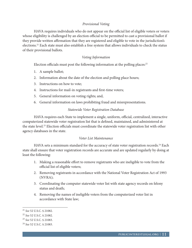### *Provisional Voting*

HAVA requires individuals who do not appear on the official list of eligible voters or voters whose eligibility is challenged by an election official to be permitted to cast a provisional ballot if they provide written affirmation that they are registered and eligible to vote in the jurisdiction's elections.21 Each state must also establish a free system that allows individuals to check the status of their provisional ballots.

### *Voting Information*

Election officials must post the following information at the polling places: $22$ 

- 1. A sample ballot;
- 2. Information about the date of the election and polling place hours;
- 3. Instructions on how to vote;
- 4. Instructions for mail-in registrants and first-time voters;
- 5. General information on voting rights; and,
- 6. General information on laws prohibiting fraud and misrepresentations.

### *Statewide Voter Registration Database*

HAVA requires each State to implement a single, uniform, official, centralized, interactive computerized statewide voter registration list that is defined, maintained, and administered at the state level.23 Election officials must coordinate the statewide voter registration list with other agency databases in the state.

### *Voter List Maintenance*

HAVA sets a minimum standard for the accuracy of state voter registration records.<sup>24</sup> Each state shall ensure that voter registration records are accurate and are updated regularly by doing at least the following:

- 1. Making a reasonable effort to remove registrants who are ineligible to vote from the official list of eligible voters;
- 2. Removing registrants in accordance with the National Voter Registration Act of 1993 (NVRA);
- 3. Coordinating the computer statewide voter list with state agency records on felony status and death;
- 4. Removing the names of ineligible voters from the computerized voter list in accordance with State law;

<sup>21</sup> *See* 52 U.S.C. § 21082.

<sup>22</sup> *See* 52 U.S.C. § 21082.

<sup>23</sup> *See* 52 U.S.C. § 21083.

<sup>24</sup> *See* 52 U.S.C. § 21083.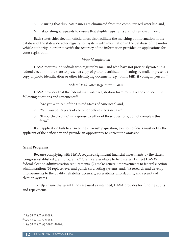- 5. Ensuring that duplicate names are eliminated from the computerized voter list; and,
- 6. Establishing safeguards to ensure that eligible registrants are not removed in error.

Each state's chief election official must also facilitate the matching of information in the database of the statewide voter registration system with information in the database of the motor vehicle authority in order to verify the accuracy of the information provided on applications for voter registration.

### *Voter Identification*

HAVA requires individuals who register by mail and who have not previously voted in a federal election in the state to present a copy of photo identification if voting by mail, or present a copy of photo identification or other identifying document (*e*.*g*., utility bill), if voting in person.25

### *Federal Mail Voter Registration Form*

HAVA provides that the federal mail voter registration form must ask the applicant the following questions and statements:<sup>26</sup>

- 1. "Are you a citizen of the United States of America?" and,
- 2. "Will you be 18 years of age on or before election day?"
- 3. "If you checked 'no' in response to either of these questions, do not complete this form."

If an application fails to answer the citizenship question, election officials must notify the applicant of the deficiency and provide an opportunity to correct the omission.

### **Grant Programs**

Because complying with HAVA required significant financial investments by the states, Congress established grant programs.27 Grants are available to help states (1) meet HAVA's federal election administration requirements; (2) make general improvements to federal election administration; (3) replace level and punch card voting systems; and, (4) research and develop improvements to the quality, reliability, accuracy, accessibility, affordability, and security of election systems.

To help ensure that grant funds are used as intended, HAVA provides for funding audits and repayments.

<sup>25</sup> *See* 52 U.S.C. § 21083.

<sup>26</sup> *See* 52 U.S.C. § 21083.

<sup>27</sup> *See* 52 U.S.C. §§ 20901-20904.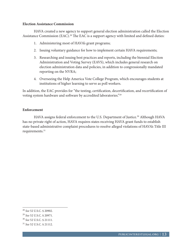#### **Election Assistance Commission**

HAVA created a new agency to support general election administration called the Election Assistance Commission (EAC).<sup>28</sup> The EAC is a support agency with limited and defined duties:

- 1. Administering most of HAVA's grant programs;
- 2. Issuing voluntary guidance for how to implement certain HAVA requirements;
- 3. Researching and issuing best practices and reports, including the biennial Election Administration and Voting Survey (EAVS), which includes general research on election administration data and policies, in addition to congressionally mandated reporting on the NVRA;
- 4. Overseeing the Help America Vote College Program, which encourages students at institutions of higher learning to serve as poll workers.

In addition, the EAC provides for "the testing, certification, decertification, and recertification of voting system hardware and software by accredited laboratories."29

### **Enforcement**

HAVA assigns federal enforcement to the U.S. Department of Justice.<sup>30</sup> Although HAVA has no private right of action, HAVA requires states receiving HAVA grant funds to establish state-based administrative complaint procedures to resolve alleged violations of HAVA's Title III requirements.<sup>31</sup>

<sup>28</sup> *See* 52 U.S.C. § 20902.

<sup>29</sup> *See* 52 U.S.C. § 20971.

<sup>30</sup> *See* 52 U.S.C. § 21111.

<sup>31</sup> *See* 52 U.S.C. § 21112.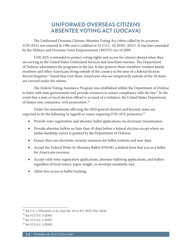# **UNIFORMED OVERSEAS CITIZENS ABSENTEE VOTING ACT (UOCAVA)**

The Uniformed Overseas Citizens Absentee Voting Act (often called by its acronym UOCAVA) was enacted in 1986 and is codified in 52 U.S.C. §§ 20301-20311. It was later amended by the Military and Overseas Voter Empowerment (MOVE) Act of 2009.

UOCAVA is intended to protect voting rights and access for citizens abroad when they are serving in the United States Uniformed Services and merchant marines. The Department of Defense administers the programs in the law. It also protects those members' resident family members and other Americans living outside of the country at the time of a federal election. Recent litigation<sup>32</sup> found that even those Americans who are temporarily outside of the 50 states are covered under the statute.

The Federal Voting Assistance Program was established within the Department of Defense to liaise with state governments and provide resources to ensure compliance with the law.<sup>33</sup> In the event that a state or local election official is accused of a violation, the United States Department of Justice may commence civil prosecution.34

Under the amendments affecting the 2010 general election and beyond, states are expected to do the following in regards to voters requiring UOCAVA protection:<sup>35</sup>

- Provide voter registration and absentee ballot applications via electronic transmission;
- Provide absentee ballots no later than 45 days before a federal election except where an undue hardship waiver is granted by the Department of Defense;
- Ensure there are electronic security measures for ballot contents and user data;
- Accept the Federal Write-In Absentee Ballot (FWAB), a federal form that acts as a ballot for Americans overseas;
- Accept valid voter registration applications, absentee balloting applications, and ballots regardless of local notary, paper weight, or envelope standards; and,
- Allow free access to ballot tracking.

<sup>32</sup> *See U.S. v. Wisconsin, et al.*, Case No. 18-cv-471 (W.D. Wis. 2018).

<sup>33</sup> *See* 52 U.S.C. § 20305.

<sup>34</sup> *See* 52 U.S.C. § 20307.

<sup>35</sup> *See* 52 U.S.C. § 20302.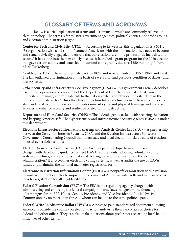# **GLOSSARY OF TERMS AND ACRONYMS**

Below is a brief explanation of terms and acronyms to which are commonly referred in election policy. The terms refer to laws, government agencies, political entities, nonprofit groups, and election administration jargon.

**Center for Tech and Civic Life (CTCL)** = According to its website, this organization is a  $501(c)$ (3) organization with a mission to "connect Americans with the information they need to become and remain civically engaged, and ensure that our elections are more professional, inclusive, and secure." It has come into the news lately because it launched a grant program for the 2020 election that gave certain county and state election commissions grants, due to a \$350 million gift from Mark Zuckerberg.

**Civil Rights Acts** = These statutes date back to 1870, and were amended in 1957, 1960, and 1964. The law outlawed discrimination on the basis of race, color, and previous condition of slavery and literacy tests.

**Cybersecurity and Infrastructure Security Agency (CISA)** = This government agency describes itself as "an operational component of the Department of Homeland Security" that "works to understand, manage, and mitigate risk to the nation's cyber and physical infrastructure in the public and private sector." This office has an Election Infrastructure Security Resource Guide for state and local election officials and provides no-cost cyber and physical trainings and exercise services to enhance security and resilience of election infrastructure.

**Department of Homeland Security (DHS)** = The federal agency tasked with securing the nation and keeping America safe. The Cybersecurity and Infrastructure Security Agency (CISA) is under this department.

**Elections Infrastructure Information Sharing and Analysis Center (EI-ISAC)** = A partnership between the Center for Internet Security, CISA, and the Election Infrastructure Subsector Government Coordinating Council that offers state and local election officials a suite of electionsfocused cyber defense tools.

**Election Assistance Commission (EAC)** = An "independent, bipartisan commission charged with developing guidance to meet HAVA requirements, adopting voluntary voting system guidelines, and serving as a national clearinghouse of information on the election administration." It also certifies electronic voting systems, as well as audits the use of HAVA funds, and maintains the national mail voter registration form.

**Electronic Registration Information Center (ERIC)** = A nonprofit organization with a mission to work with member states to improve the accuracy of America's voter rolls and increase access to voter registration for all eligible citizens.

**Federal Election Commission (FEC)** = The FEC is the regulatory agency charged with administering and enforcing the federal campaign finance laws that govern the financing of campaigns for the U.S. House, Senate, Presidency, and Vice Presidency. It is led by six Commissioners, no more than three of whom can belong to the same political party.

**Federal Write-In Absentee Ballot** (**FWAB) =** A postage-paid standardized document allowing Americans outside the country on election day to hand-write their candidates of choice for federal and other offices. They can also make notations about preferences regarding local ballot initiatives of other items.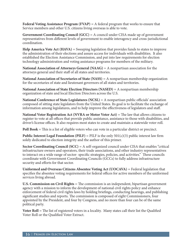**Federal Voting Assistance Program (FVAP)** = A federal program that works to ensure that Service members and other U.S. citizens living overseas is able to vote.

**Government Coordinating Council (GCC)** = A council under CISA made up of government representatives from different levels of government to enable interagency and cross-jurisdictional coordination.

**Help America Vote Act (HAVA)** = Sweeping legislation that provides funds to states to improve the administration of their elections and assure access for individuals with disabilities. It also established the Election Assistance Commission, and put into law requirements for election technology administration and voting assistance programs for members of the military.

**National Association of Attorneys General (NAAG)** = A nonpartisan association for the attorneys general and their staff of all states and territories.

**National Association of Secretaries of State (NASS)** = A nonpartisan membership organization for the secretaries of state and lieutenant governors of all states and territories.

**National Association of State Election Directors (NASED)** = A nonpartisan membership organization of state and local Election Directors across the U.S.

**National Conference of State Legislatures (NCSL)** = A nonpartisan public officials' association composed of sitting state legislators from the United States. Its goal is to facilitate the exchange of information among legislatures, and to help improve the effectiveness of legislators and staff.

**National Voter Registration Act (NVRA or Motor Voter Act)** = The law that allows citizens to register to vote at all offices that provide public assistance, assistance to those with disabilities, and driver's license offices. It also requires most states to create and maintain a statewide voter roll.

**Poll Book** = This is a list of eligible voters who can vote in a particular district or precinct.

**Public Interest Legal Foundation (PILF)** = PILF is the only  $501(c)(3)$  public interest law firm solely dedicated to election integrity and the author of this primer.

**Sector Coordinating Council (SCC)** = A self-organized council under CISA that enables "critical infrastructure owners and operators, their trade associations, and other industry representatives to interact on a wide range of sector- specific strategies, policies, and activities." These councils coordinate with Government Coordinating Councils (GCCs) to fully address infrastructure security and efforts for that sector.

**Uniformed and Overseas Citizens Absentee Voting Act (UOCAVA)** = Federal legislation that specifies the absentee voting requirements for federal offices for active members of the uniformed services living abroad.

**U.S. Commission on Civil Rights** = The commission is an independent, bipartisan government agency with a mission to inform the development of national civil rights policy and enhance enforcement of federal civil rights laws by holding briefings, conducting hearings, and publishing significant studies and reports. The commission is composed of eight Commissioners, four appointed by the President, and four by Congress, and no more than four can be of the same political party.

**Voter Roll** = The list of registered voters in a locality. Many states call their list the Qualified Voter Roll or the Qualified Voter Extract.